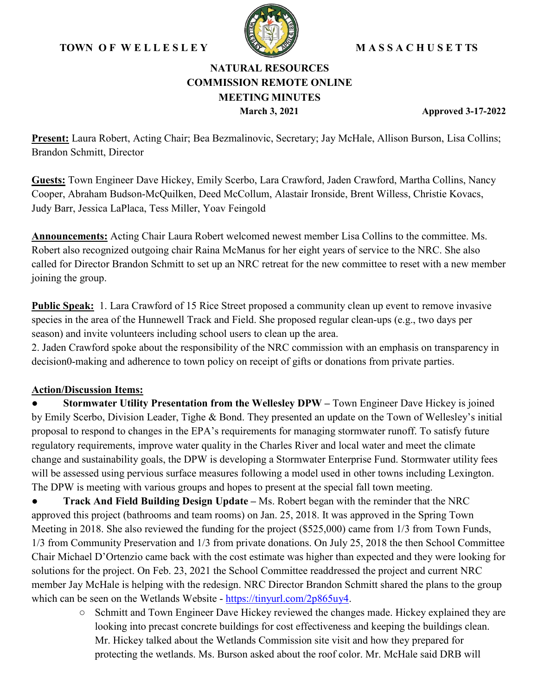# **TOWN O F W E L L E S L E Y M A S S A C H U S E T TS**



# **NATURAL RESOURCES COMMISSION REMOTE ONLINE MEETING MINUTES**

**March 3, 2021 Approved 3-17-2022**

**Present:** Laura Robert, Acting Chair; Bea Bezmalinovic, Secretary; Jay McHale, Allison Burson, Lisa Collins; Brandon Schmitt, Director

**Guests:** Town Engineer Dave Hickey, Emily Scerbo, Lara Crawford, Jaden Crawford, Martha Collins, Nancy Cooper, Abraham Budson-McQuilken, Deed McCollum, Alastair Ironside, Brent Willess, Christie Kovacs, Judy Barr, Jessica LaPlaca, Tess Miller, Yoav Feingold

**Announcements:** Acting Chair Laura Robert welcomed newest member Lisa Collins to the committee. Ms. Robert also recognized outgoing chair Raina McManus for her eight years of service to the NRC. She also called for Director Brandon Schmitt to set up an NRC retreat for the new committee to reset with a new member joining the group.

**Public Speak:** 1. Lara Crawford of 15 Rice Street proposed a community clean up event to remove invasive species in the area of the Hunnewell Track and Field. She proposed regular clean-ups (e.g., two days per season) and invite volunteers including school users to clean up the area.

2. Jaden Crawford spoke about the responsibility of the NRC commission with an emphasis on transparency in decision0-making and adherence to town policy on receipt of gifts or donations from private parties.

# **Action/Discussion Items:**

**Stormwater Utility Presentation from the Wellesley DPW – Town Engineer Dave Hickey is joined** by Emily Scerbo, Division Leader, Tighe & Bond. They presented an update on the Town of Wellesley's initial proposal to respond to changes in the EPA's requirements for managing stormwater runoff. To satisfy future regulatory requirements, improve water quality in the Charles River and local water and meet the climate change and sustainability goals, the DPW is developing a Stormwater Enterprise Fund. Stormwater utility fees will be assessed using pervious surface measures following a model used in other towns including Lexington. The DPW is meeting with various groups and hopes to present at the special fall town meeting.

**Track And Field Building Design Update – Ms. Robert began with the reminder that the NRC** approved this project (bathrooms and team rooms) on Jan. 25, 2018. It was approved in the Spring Town Meeting in 2018. She also reviewed the funding for the project (\$525,000) came from 1/3 from Town Funds, 1/3 from Community Preservation and 1/3 from private donations. On July 25, 2018 the then School Committee Chair Michael D'Ortenzio came back with the cost estimate was higher than expected and they were looking for solutions for the project. On Feb. 23, 2021 the School Committee readdressed the project and current NRC member Jay McHale is helping with the redesign. NRC Director Brandon Schmitt shared the plans to the group which can be seen on the Wetlands Website - [https://tinyurl.com/2p865uy4.](https://tinyurl.com/2p865uy4)

> ○ Schmitt and Town Engineer Dave Hickey reviewed the changes made. Hickey explained they are looking into precast concrete buildings for cost effectiveness and keeping the buildings clean. Mr. Hickey talked about the Wetlands Commission site visit and how they prepared for protecting the wetlands. Ms. Burson asked about the roof color. Mr. McHale said DRB will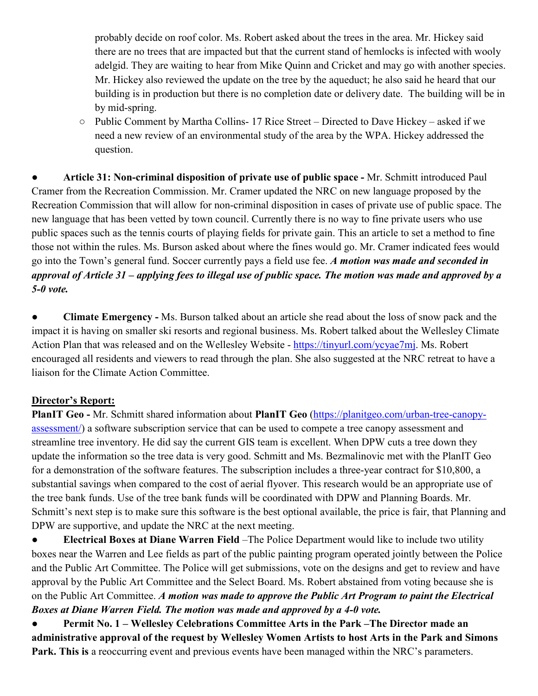probably decide on roof color. Ms. Robert asked about the trees in the area. Mr. Hickey said there are no trees that are impacted but that the current stand of hemlocks is infected with wooly adelgid. They are waiting to hear from Mike Quinn and Cricket and may go with another species. Mr. Hickey also reviewed the update on the tree by the aqueduct; he also said he heard that our building is in production but there is no completion date or delivery date. The building will be in by mid-spring.

○ Public Comment by Martha Collins- 17 Rice Street – Directed to Dave Hickey – asked if we need a new review of an environmental study of the area by the WPA. Hickey addressed the question.

● **Article 31: Non-criminal disposition of private use of public space -** Mr. Schmitt introduced Paul Cramer from the Recreation Commission. Mr. Cramer updated the NRC on new language proposed by the Recreation Commission that will allow for non-criminal disposition in cases of private use of public space. The new language that has been vetted by town council. Currently there is no way to fine private users who use public spaces such as the tennis courts of playing fields for private gain. This an article to set a method to fine those not within the rules. Ms. Burson asked about where the fines would go. Mr. Cramer indicated fees would go into the Town's general fund. Soccer currently pays a field use fee. *A motion was made and seconded in approval of Article 31 – applying fees to illegal use of public space. The motion was made and approved by a 5-0 vote.*

● **Climate Emergency -** Ms. Burson talked about an article she read about the loss of snow pack and the impact it is having on smaller ski resorts and regional business. Ms. Robert talked about the Wellesley Climate Action Plan that was released and on the Wellesley Website - [https://tinyurl.com/ycyae7mj.](https://tinyurl.com/ycyae7mj) Ms. Robert encouraged all residents and viewers to read through the plan. She also suggested at the NRC retreat to have a liaison for the Climate Action Committee.

# **Director's Report:**

**PlanIT Geo -** Mr. Schmitt shared information about **PlanIT Geo** [\(https://planitgeo.com/urban-tree-canopy](https://planitgeo.com/urban-tree-canopy-assessment/)[assessment/\)](https://planitgeo.com/urban-tree-canopy-assessment/) a software subscription service that can be used to compete a tree canopy assessment and streamline tree inventory. He did say the current GIS team is excellent. When DPW cuts a tree down they update the information so the tree data is very good. Schmitt and Ms. Bezmalinovic met with the PlanIT Geo for a demonstration of the software features. The subscription includes a three-year contract for \$10,800, a substantial savings when compared to the cost of aerial flyover. This research would be an appropriate use of the tree bank funds. Use of the tree bank funds will be coordinated with DPW and Planning Boards. Mr. Schmitt's next step is to make sure this software is the best optional available, the price is fair, that Planning and DPW are supportive, and update the NRC at the next meeting.

● **Electrical Boxes at Diane Warren Field** –The Police Department would like to include two utility boxes near the Warren and Lee fields as part of the public painting program operated jointly between the Police and the Public Art Committee. The Police will get submissions, vote on the designs and get to review and have approval by the Public Art Committee and the Select Board. Ms. Robert abstained from voting because she is on the Public Art Committee. *A motion was made to approve the Public Art Program to paint the Electrical Boxes at Diane Warren Field. The motion was made and approved by a 4-0 vote.*

● **Permit No. 1 – Wellesley Celebrations Committee Arts in the Park –The Director made an administrative approval of the request by Wellesley Women Artists to host Arts in the Park and Simons Park. This is** a reoccurring event and previous events have been managed within the NRC's parameters.